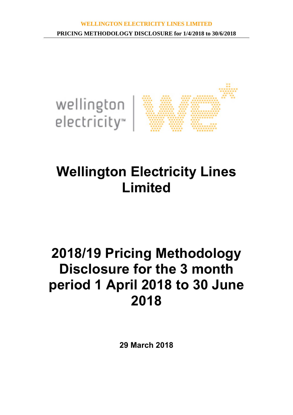

# **Wellington Electricity Lines Limited**

# **2018/19 Pricing Methodology Disclosure for the 3 month period 1 April 2018 to 30 June 2018**

**29 March 2018**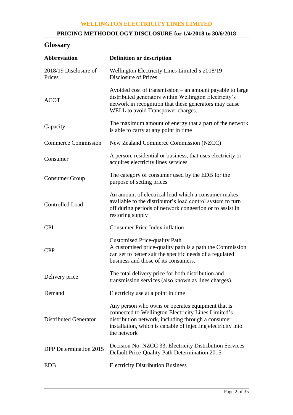## **PRICING METHODOLOGY DISCLOSURE for 1/4/2018 to 30/6/2018**

# **Glossary**

| <b>Abbreviation</b>             | <b>Definition or description</b>                                                                                                                                                                                                              |  |  |  |
|---------------------------------|-----------------------------------------------------------------------------------------------------------------------------------------------------------------------------------------------------------------------------------------------|--|--|--|
| 2018/19 Disclosure of<br>Prices | Wellington Electricity Lines Limited's 2018/19<br><b>Disclosure of Prices</b>                                                                                                                                                                 |  |  |  |
| <b>ACOT</b>                     | Avoided cost of transmission – an amount payable to large<br>distributed generators within Wellington Electricity's<br>network in recognition that these generators may cause<br>WELL to avoid Transpower charges.                            |  |  |  |
| Capacity                        | The maximum amount of energy that a part of the network<br>is able to carry at any point in time                                                                                                                                              |  |  |  |
| <b>Commerce Commission</b>      | New Zealand Commerce Commission (NZCC)                                                                                                                                                                                                        |  |  |  |
| Consumer                        | A person, residential or business, that uses electricity or<br>acquires electricity lines services                                                                                                                                            |  |  |  |
| <b>Consumer Group</b>           | The category of consumer used by the EDB for the<br>purpose of setting prices                                                                                                                                                                 |  |  |  |
| Controlled Load                 | An amount of electrical load which a consumer makes<br>available to the distributor's load control system to turn<br>off during periods of network congestion or to assist in<br>restoring supply                                             |  |  |  |
| <b>CPI</b>                      | <b>Consumer Price Index inflation</b>                                                                                                                                                                                                         |  |  |  |
| <b>CPP</b>                      | <b>Customised Price-quality Path</b><br>A customised price-quality path is a path the Commission<br>can set to better suit the specific needs of a regulated<br>business and those of its consumers.                                          |  |  |  |
| Delivery price                  | The total delivery price for both distribution and<br>transmission services (also known as lines charges).                                                                                                                                    |  |  |  |
| Demand                          | Electricity use at a point in time                                                                                                                                                                                                            |  |  |  |
| <b>Distributed Generator</b>    | Any person who owns or operates equipment that is<br>connected to Wellington Electricity Lines Limited's<br>distribution network, including through a consumer<br>installation, which is capable of injecting electricity into<br>the network |  |  |  |
| DPP Determination 2015          | Decision No. NZCC 33, Electricity Distribution Services<br>Default Price-Quality Path Determination 2015                                                                                                                                      |  |  |  |
| <b>EDB</b>                      | <b>Electricity Distribution Business</b>                                                                                                                                                                                                      |  |  |  |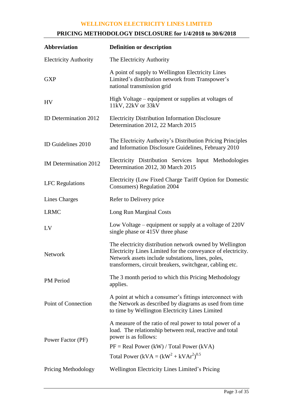## **PRICING METHODOLOGY DISCLOSURE for 1/4/2018 to 30/6/2018**

| Abbreviation                 | <b>Definition or description</b>                                                                                                                                                                                                          |  |  |  |
|------------------------------|-------------------------------------------------------------------------------------------------------------------------------------------------------------------------------------------------------------------------------------------|--|--|--|
| <b>Electricity Authority</b> | The Electricity Authority                                                                                                                                                                                                                 |  |  |  |
| <b>GXP</b>                   | A point of supply to Wellington Electricity Lines<br>Limited's distribution network from Transpower's<br>national transmission grid                                                                                                       |  |  |  |
| HV                           | High Voltage – equipment or supplies at voltages of<br>11kV, 22kV or 33kV                                                                                                                                                                 |  |  |  |
| ID Determination 2012        | <b>Electricity Distribution Information Disclosure</b><br>Determination 2012, 22 March 2015                                                                                                                                               |  |  |  |
| ID Guidelines 2010           | The Electricity Authority's Distribution Pricing Principles<br>and Information Disclosure Guidelines, February 2010                                                                                                                       |  |  |  |
| IM Determination 2012        | Electricity Distribution Services Input Methodologies<br>Determination 2012, 30 March 2015                                                                                                                                                |  |  |  |
| <b>LFC</b> Regulations       | Electricity (Low Fixed Charge Tariff Option for Domestic<br><b>Consumers</b> ) Regulation 2004                                                                                                                                            |  |  |  |
| Lines Charges                | Refer to Delivery price                                                                                                                                                                                                                   |  |  |  |
| <b>LRMC</b>                  | Long Run Marginal Costs                                                                                                                                                                                                                   |  |  |  |
| LV                           | Low Voltage – equipment or supply at a voltage of 220V<br>single phase or 415V three phase                                                                                                                                                |  |  |  |
| <b>Network</b>               | The electricity distribution network owned by Wellington<br>Electricity Lines Limited for the conveyance of electricity.<br>Network assets include substations, lines, poles,<br>transformers, circuit breakers, switchgear, cabling etc. |  |  |  |
| PM Period                    | The 3 month period to which this Pricing Methodology<br>applies.                                                                                                                                                                          |  |  |  |
| Point of Connection          | A point at which a consumer's fittings interconnect with<br>the Network as described by diagrams as used from time<br>to time by Wellington Electricity Lines Limited                                                                     |  |  |  |
| Power Factor (PF)            | A measure of the ratio of real power to total power of a<br>load. The relationship between real, reactive and total<br>power is as follows:                                                                                               |  |  |  |
|                              | $PF = Real Power (kW) / Total Power (kVA)$                                                                                                                                                                                                |  |  |  |
|                              | Total Power (kVA = $(kW^2 + kVAr^2)^{0.5}$                                                                                                                                                                                                |  |  |  |
| <b>Pricing Methodology</b>   | <b>Wellington Electricity Lines Limited's Pricing</b>                                                                                                                                                                                     |  |  |  |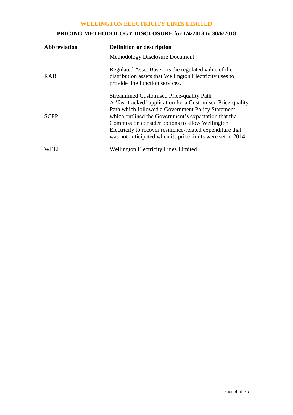## **PRICING METHODOLOGY DISCLOSURE for 1/4/2018 to 30/6/2018**

| <b>Abbreviation</b> | <b>Definition or description</b>                                                                                                                                                                                                                                                                                                                                                                              |  |  |
|---------------------|---------------------------------------------------------------------------------------------------------------------------------------------------------------------------------------------------------------------------------------------------------------------------------------------------------------------------------------------------------------------------------------------------------------|--|--|
|                     | <b>Methodology Disclosure Document</b>                                                                                                                                                                                                                                                                                                                                                                        |  |  |
| <b>RAB</b>          | Regulated Asset Base $-$ is the regulated value of the<br>distribution assets that Wellington Electricity uses to<br>provide line function services.                                                                                                                                                                                                                                                          |  |  |
| <b>SCPP</b>         | <b>Streamlined Customised Price-quality Path</b><br>A 'fast-tracked' application for a Customised Price-quality<br>Path which followed a Government Policy Statement,<br>which outlined the Government's expectation that the<br>Commission consider options to allow Wellington<br>Electricity to recover resilience-related expenditure that<br>was not anticipated when its price limits were set in 2014. |  |  |
| WELL.               | <b>Wellington Electricity Lines Limited</b>                                                                                                                                                                                                                                                                                                                                                                   |  |  |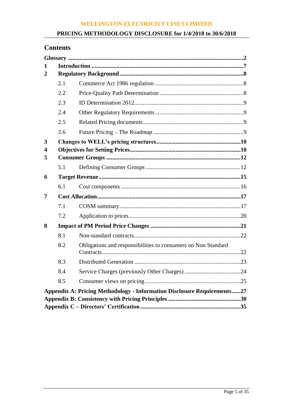## **PRICING METHODOLOGY DISCLOSURE for 1/4/2018 to 30/6/2018**

## **Contents**

| 1              |     |                                                                                |  |  |  |
|----------------|-----|--------------------------------------------------------------------------------|--|--|--|
| $\overline{2}$ |     |                                                                                |  |  |  |
|                | 2.1 |                                                                                |  |  |  |
|                | 2.2 |                                                                                |  |  |  |
|                | 2.3 |                                                                                |  |  |  |
|                | 2.4 |                                                                                |  |  |  |
|                | 2.5 |                                                                                |  |  |  |
|                | 2.6 |                                                                                |  |  |  |
| 3              |     |                                                                                |  |  |  |
| 4              |     |                                                                                |  |  |  |
| 5              |     |                                                                                |  |  |  |
|                | 5.1 |                                                                                |  |  |  |
| 6              |     |                                                                                |  |  |  |
|                | 6.1 |                                                                                |  |  |  |
| 7              |     |                                                                                |  |  |  |
|                | 7.1 |                                                                                |  |  |  |
|                | 7.2 |                                                                                |  |  |  |
| 8              |     |                                                                                |  |  |  |
|                | 8.1 |                                                                                |  |  |  |
|                | 8.2 | Obligations and responsibilities to consumers on Non Standard                  |  |  |  |
|                | 8.3 |                                                                                |  |  |  |
|                | 8.4 |                                                                                |  |  |  |
|                | 8.5 |                                                                                |  |  |  |
|                |     | <b>Appendix A: Pricing Methodology - Information Disclosure Requirements27</b> |  |  |  |
|                |     |                                                                                |  |  |  |
|                |     |                                                                                |  |  |  |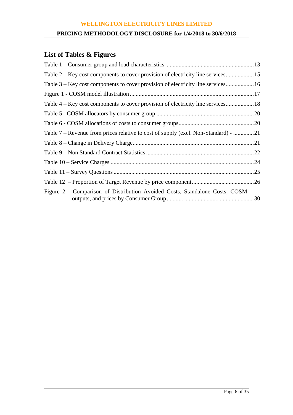## **PRICING METHODOLOGY DISCLOSURE for 1/4/2018 to 30/6/2018**

# **List of Tables & Figures**

| Table 2 – Key cost components to cover provision of electricity line services      |
|------------------------------------------------------------------------------------|
| Table 3 – Key cost components to cover provision of electricity line services16    |
|                                                                                    |
|                                                                                    |
|                                                                                    |
|                                                                                    |
| Table 7 – Revenue from prices relative to cost of supply (excl. Non-Standard) - 21 |
|                                                                                    |
|                                                                                    |
|                                                                                    |
|                                                                                    |
|                                                                                    |
| Figure 2 - Comparison of Distribution Avoided Costs, Standalone Costs, COSM        |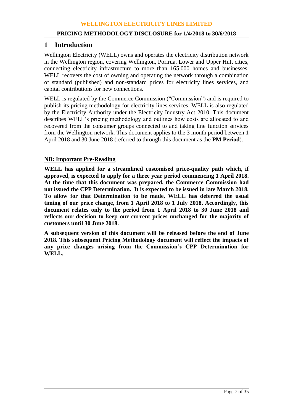## **1 Introduction**

Wellington Electricity (WELL) owns and operates the electricity distribution network in the Wellington region, covering Wellington, Porirua, Lower and Upper Hutt cities, connecting electricity infrastructure to more than 165,000 homes and businesses. WELL recovers the cost of owning and operating the network through a combination of standard (published) and non-standard prices for electricity lines services, and capital contributions for new connections.

WELL is regulated by the Commerce Commission ("Commission") and is required to publish its pricing methodology for electricity lines services. WELL is also regulated by the Electricity Authority under the Electricity Industry Act 2010. This document describes WELL's pricing methodology and outlines how costs are allocated to and recovered from the consumer groups connected to and taking line function services from the Wellington network. This document applies to the 3 month period between 1 April 2018 and 30 June 2018 (referred to through this document as the **PM Period**).

## **NB: Important Pre-Reading**

**WELL has applied for a streamlined customised price-quality path which, if approved, is expected to apply for a three year period commencing 1 April 2018. At the time that this document was prepared, the Commerce Commission had not issued the CPP Determination. It is expected to be issued in late March 2018. To allow for that Determination to be made, WELL has deferred the usual timing of our price change, from 1 April 2018 to 1 July 2018. Accordingly, this document relates only to the period from 1 April 2018 to 30 June 2018 and reflects our decision to keep our current prices unchanged for the majority of customers until 30 June 2018.**

**A subsequent version of this document will be released before the end of June 2018. This subsequent Pricing Methodology document will reflect the impacts of any price changes arising from the Commission's CPP Determination for WELL.**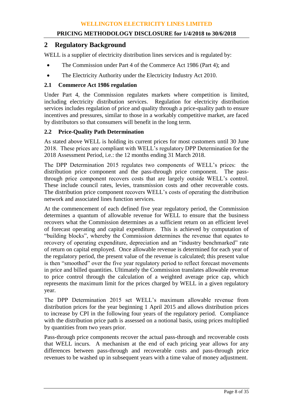## **2 Regulatory Background**

WELL is a supplier of electricity distribution lines services and is regulated by:

- The Commission under Part 4 of the Commerce Act 1986 (Part 4); and
- The Electricity Authority under the Electricity Industry Act 2010.

## **2.1 Commerce Act 1986 regulation**

Under Part 4, the Commission regulates markets where competition is limited, including electricity distribution services. Regulation for electricity distribution services includes regulation of price and quality through a price-quality path to ensure incentives and pressures, similar to those in a workably competitive market, are faced by distributors so that consumers will benefit in the long term.

## **2.2 Price-Quality Path Determination**

As stated above WELL is holding its current prices for most customers until 30 June 2018. These prices are compliant with WELL's regulatory DPP Determination for the 2018 Assessment Period, i.e.: the 12 months ending 31 March 2018.

The DPP Determination 2015 regulates two components of WELL's prices: the distribution price component and the pass-through price component. The passthrough price component recovers costs that are largely outside WELL's control. These include council rates, levies, transmission costs and other recoverable costs. The distribution price component recovers WELL's costs of operating the distribution network and associated lines function services.

At the commencement of each defined five year regulatory period, the Commission determines a quantum of allowable revenue for WELL to ensure that the business recovers what the Commission determines as a sufficient return on an efficient level of forecast operating and capital expenditure. This is achieved by computation of "building blocks", whereby the Commission determines the revenue that equates to recovery of operating expenditure, depreciation and an "industry benchmarked" rate of return on capital employed. Once allowable revenue is determined for each year of the regulatory period, the present value of the revenue is calculated; this present value is then "smoothed" over the five year regulatory period to reflect forecast movements in price and billed quantities. Ultimately the Commission translates allowable revenue to price control through the calculation of a weighted average price cap, which represents the maximum limit for the prices charged by WELL in a given regulatory year.

The DPP Determination 2015 set WELL's maximum allowable revenue from distribution prices for the year beginning 1 April 2015 and allows distribution prices to increase by CPI in the following four years of the regulatory period. Compliance with the distribution price path is assessed on a notional basis, using prices multiplied by quantities from two years prior.

Pass-through price components recover the actual pass-through and recoverable costs that WELL incurs. A mechanism at the end of each pricing year allows for any differences between pass-through and recoverable costs and pass-through price revenues to be washed up in subsequent years with a time value of money adjustment.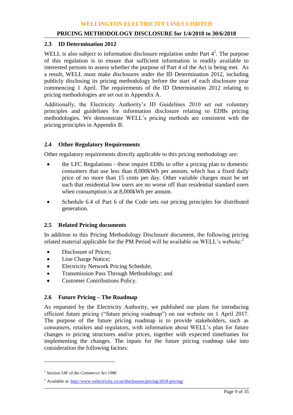## **2.3 ID Determination 2012**

WELL is also subject to information disclosure regulation under Part  $4<sup>1</sup>$ . The purpose of this regulation is to ensure that sufficient information is readily available to interested persons to assess whether the purpose of Part 4 of the Act is being met. As a result, WELL must make disclosures under the ID Determination 2012, including publicly disclosing its pricing methodology before the start of each disclosure year commencing 1 April. The requirements of the ID Determination 2012 relating to pricing methodologies are set out in Appendix A.

Additionally, the Electricity Authority's ID Guidelines 2010 set out voluntary principles and guidelines for information disclosure relating to EDBs pricing methodologies. We demonstrate WELL's pricing methods are consistent with the pricing principles in Appendix B.

## **2.4 Other Regulatory Requirements**

Other regulatory requirements directly applicable to this pricing methodology are:

- the LFC Regulations these require EDBs to offer a pricing plan to domestic consumers that use less than 8,000kWh per annum, which has a fixed daily price of no more than 15 cents per day. Other variable charges must be set such that residential low users are no worse off than residential standard users when consumption is at 8,000kWh per annum.
- Schedule 6.4 of Part 6 of the Code sets out pricing principles for distributed generation.

## **2.5 Related Pricing documents**

In addition to this Pricing Methodology Disclosure document, the following pricing related material applicable for the PM Period will be available on WELL's website: $2$ 

- Disclosure of Prices;
- Line Charge Notice;
- Electricity Network Pricing Schedule;
- Transmission Pass Through Methodology; and
- Customer Contributions Policy.

## **2.6 Future Pricing – The Roadmap**

As requested by the Electricity Authority, we published our plans for introducing efficient future pricing ("future pricing roadmap") on our website on 1 April 2017. The purpose of the future pricing roadmap is to provide stakeholders, such as consumers, retailers and regulators, with information about WELL's plan for future changes to pricing structures and/or prices, together with expected timeframes for implementing the changes. The inputs for the future pricing roadmap take into consideration the following factors:

 $\overline{a}$ 

<sup>1</sup> Section 54F of the *Commerce Act 1986*

<sup>&</sup>lt;sup>2</sup> Available at[: http://www.welectricity.co.nz/disclosures/pricing/2018-pricing/](http://www.welectricity.co.nz/disclosures/pricing/2018-pricing/)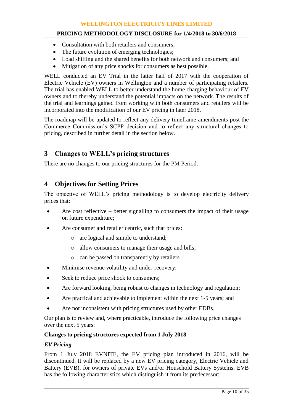## **PRICING METHODOLOGY DISCLOSURE for 1/4/2018 to 30/6/2018**

- Consultation with both retailers and consumers;
- The future evolution of emerging technologies;
- Load shifting and the shared benefits for both network and consumers; and
- Mitigation of any price shocks for consumers as best possible.

WELL conducted an EV Trial in the latter half of 2017 with the cooperation of Electric Vehicle (EV) owners in Wellington and a number of participating retailers. The trial has enabled WELL to better understand the home charging behaviour of EV owners and to thereby understand the potential impacts on the network. The results of the trial and learnings gained from working with both consumers and retailers will be incorporated into the modification of our EV pricing in later 2018.

The roadmap will be updated to reflect any delivery timeframe amendments post the Commerce Commission's SCPP decision and to reflect any structural changes to pricing, described in further detail in the section below.

## **3 Changes to WELL's pricing structures**

There are no changes to our pricing structures for the PM Period.

## **4 Objectives for Setting Prices**

The objective of WELL's pricing methodology is to develop electricity delivery prices that:

- Are cost reflective better signalling to consumers the impact of their usage on future expenditure;
- Are consumer and retailer centric, such that prices:
	- o are logical and simple to understand;
	- o allow consumers to manage their usage and bills;
	- o can be passed on transparently by retailers
- Minimise revenue volatility and under-recovery;
- Seek to reduce price shock to consumers;
- Are forward looking, being robust to changes in technology and regulation;
- Are practical and achievable to implement within the next 1-5 years; and
- Are not inconsistent with pricing structures used by other EDBs.

Our plan is to review and, where practicable, introduce the following price changes over the next 5 years:

## **Changes to pricing structures expected from 1 July 2018**

## *EV Pricing*

From 1 July 2018 EVNITE, the EV pricing plan introduced in 2016, will be discontinued. It will be replaced by a new EV pricing category, Electric Vehicle and Battery (EVB), for owners of private EVs and/or Household Battery Systems. EVB has the following characteristics which distinguish it from its predecessor: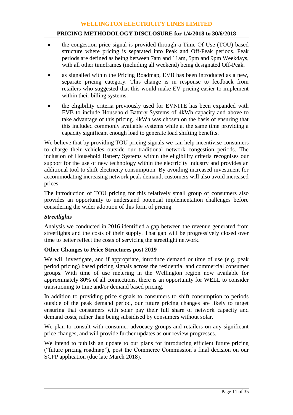## **PRICING METHODOLOGY DISCLOSURE for 1/4/2018 to 30/6/2018**

- the congestion price signal is provided through a Time Of Use (TOU) based structure where pricing is separated into Peak and Off-Peak periods. Peak periods are defined as being between 7am and 11am, 5pm and 9pm Weekdays, with all other timeframes (including all weekend) being designated Off-Peak.
- as signalled within the Pricing Roadmap, EVB has been introduced as a new, separate pricing category. This change is in response to feedback from retailers who suggested that this would make EV pricing easier to implement within their billing systems.
- the eligibility criteria previously used for EVNITE has been expanded with EVB to include Household Battery Systems of 4kWh capacity and above to take advantage of this pricing. 4kWh was chosen on the basis of ensuring that this included commonly available systems while at the same time providing a capacity significant enough load to generate load shifting benefits.

We believe that by providing TOU pricing signals we can help incentivise consumers to charge their vehicles outside our traditional network congestion periods. The inclusion of Household Battery Systems within the eligibility criteria recognises our support for the use of new technology within the electricity industry and provides an additional tool to shift electricity consumption. By avoiding increased investment for accommodating increasing network peak demand, customers will also avoid increased prices.

The introduction of TOU pricing for this relatively small group of consumers also provides an opportunity to understand potential implementation challenges before considering the wider adoption of this form of pricing.

## *Streetlights*

Analysis we conducted in 2016 identified a gap between the revenue generated from streetlights and the costs of their supply. That gap will be progressively closed over time to better reflect the costs of servicing the streetlight network.

## **Other Changes to Price Structures post 2019**

We will investigate, and if appropriate, introduce demand or time of use (e.g. peak period pricing) based pricing signals across the residential and commercial consumer groups. With time of use metering in the Wellington region now available for approximately 80% of all connections, there is an opportunity for WELL to consider transitioning to time and/or demand based pricing.

In addition to providing price signals to consumers to shift consumption to periods outside of the peak demand period, our future pricing changes are likely to target ensuring that consumers with solar pay their full share of network capacity and demand costs, rather than being subsidised by consumers without solar.

We plan to consult with consumer advocacy groups and retailers on any significant price changes, and will provide further updates as our review progresses.

We intend to publish an update to our plans for introducing efficient future pricing ("future pricing roadmap"), post the Commerce Commission's final decision on our SCPP application (due late March 2018).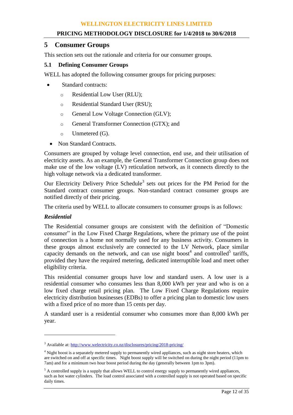## **PRICING METHODOLOGY DISCLOSURE for 1/4/2018 to 30/6/2018**

## **5 Consumer Groups**

This section sets out the rationale and criteria for our consumer groups.

## **5.1 Defining Consumer Groups**

WELL has adopted the following consumer groups for pricing purposes:

- Standard contracts:
	- o Residential Low User (RLU);
	- o Residential Standard User (RSU);
	- o General Low Voltage Connection (GLV);
	- o General Transformer Connection (GTX); and
	- o Unmetered (G).
	- Non Standard Contracts.

Consumers are grouped by voltage level connection, end use, and their utilisation of electricity assets. As an example, the General Transformer Connection group does not make use of the low voltage (LV) reticulation network, as it connects directly to the high voltage network via a dedicated transformer.

Our Electricity Delivery Price Schedule<sup>3</sup> sets out prices for the PM Period for the Standard contract consumer groups. Non-standard contract consumer groups are notified directly of their pricing.

The criteria used by WELL to allocate consumers to consumer groups is as follows:

## *Residential*

 $\overline{a}$ 

The Residential consumer groups are consistent with the definition of "Domestic consumer" in the Low Fixed Charge Regulations, where the primary use of the point of connection is a home not normally used for any business activity. Consumers in these groups almost exclusively are connected to the LV Network, place similar capacity demands on the network, and can use night boost<sup>4</sup> and controlled<sup>5</sup> tariffs, provided they have the required metering, dedicated interruptible load and meet other eligibility criteria.

This residential consumer groups have low and standard users. A low user is a residential consumer who consumes less than 8,000 kWh per year and who is on a low fixed charge retail pricing plan. The Low Fixed Charge Regulations require electricity distribution businesses (EDBs) to offer a pricing plan to domestic low users with a fixed price of no more than 15 cents per day.

A standard user is a residential consumer who consumes more than 8,000 kWh per year.

<sup>3</sup> Available at[: http://www.welectricity.co.nz/disclosures/pricing/2018-pricing/](http://www.welectricity.co.nz/disclosures/pricing/2018-pricing/)

<sup>&</sup>lt;sup>4</sup> Night boost is a separately metered supply to permanently wired appliances, such as night store heaters, which are switched on and off at specific times. Night boost supply will be switched on during the night period (11pm to 7am) and for a minimum two hour boost period during the day (generally between 1pm to 3pm).

 $<sup>5</sup>$  A controlled supply is a supply that allows WELL to control energy supply to permanently wired appliances,</sup> such as hot water cylinders. The load control associated with a controlled supply is not operated based on specific daily times.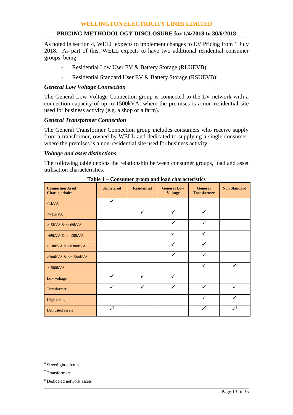As noted in section 4, WELL expects to implement changes to EV Pricing from 1 July 2018. As part of this, WELL expects to have two additional residential consumer groups, being:

- o Residential Low User EV & Battery Storage (RLUEVB);
- o Residential Standard User EV & Battery Storage (RSUEVB);

## *General Low Voltage Connection*

The General Low Voltage Connection group is connected to the LV network with a connection capacity of up to 1500kVA, where the premises is a non-residential site used for business activity (e.g. a shop or a farm).

#### *General Transformer Connection*

The General Transformer Connection group includes consumers who receive supply from a transformer, owned by WELL and dedicated to supplying a single consumer, where the premises is a non-residential site used for business activity.

#### *Voltage and asset distinctions*

The following table depicts the relationship between consumer groups, load and asset utilisation characteristics.

| <b>Connection Asset</b><br><b>Characteristics</b> | <b>Unmetered</b> | <b>Residential</b> | <b>General Low</b><br><b>Voltage</b> | <b>General</b><br><b>Transformer</b> | <b>Non Standard</b> |
|---------------------------------------------------|------------------|--------------------|--------------------------------------|--------------------------------------|---------------------|
| $\langle$ 1kVA                                    | $\checkmark$     |                    |                                      |                                      |                     |
| $\leq$ =15kVA                                     |                  | $\checkmark$       | $\checkmark$                         | ✓                                    |                     |
| $>15kVA <=69kVA$                                  |                  |                    | $\checkmark$                         | $\checkmark$                         |                     |
| $>69$ kVA & $\lt$ =138kVA                         |                  |                    | $\checkmark$                         | ✓                                    |                     |
| $>138kVA <=300kVA$                                |                  |                    | $\checkmark$                         | ✓                                    |                     |
| $>300kVA <=1500kVA$                               |                  |                    | $\checkmark$                         | ✓                                    |                     |
| $>1500kVA$                                        |                  |                    |                                      | $\checkmark$                         | $\checkmark$        |
| Low voltage                                       | ✓                | $\checkmark$       | $\checkmark$                         |                                      |                     |
| Transformer                                       | ✓                | ✓                  | ✓                                    | $\checkmark$                         | $\checkmark$        |
| High voltage                                      |                  |                    |                                      | ✓                                    | $\checkmark$        |
| <b>Dedicated assets</b>                           | $\mathcal{S}^6$  |                    |                                      | $\mathcal{S}$                        | $\checkmark^8$      |

**Table 1 – Consumer group and load characteristics**

 $\overline{a}$ 

<sup>&</sup>lt;sup>6</sup> Streetlight circuits

<sup>7</sup> Transformers

<sup>8</sup> Dedicated network assets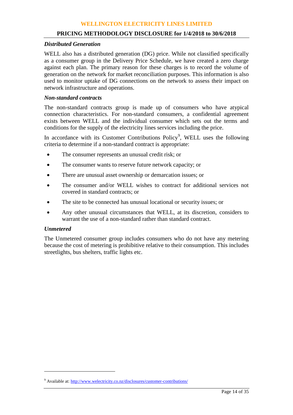#### **PRICING METHODOLOGY DISCLOSURE for 1/4/2018 to 30/6/2018**

#### *Distributed Generation*

WELL also has a distributed generation (DG) price. While not classified specifically as a consumer group in the Delivery Price Schedule, we have created a zero charge against each plan. The primary reason for these charges is to record the volume of generation on the network for market reconciliation purposes. This information is also used to monitor uptake of DG connections on the network to assess their impact on network infrastructure and operations.

## *Non-standard contracts*

The non-standard contracts group is made up of consumers who have atypical connection characteristics. For non-standard consumers, a confidential agreement exists between WELL and the individual consumer which sets out the terms and conditions for the supply of the electricity lines services including the price.

In accordance with its Customer Contributions Policy<sup>9</sup>, WELL uses the following criteria to determine if a non-standard contract is appropriate:

- The consumer represents an unusual credit risk; or
- The consumer wants to reserve future network capacity; or
- There are unusual asset ownership or demarcation issues; or
- The consumer and/or WELL wishes to contract for additional services not covered in standard contracts; or
- The site to be connected has unusual locational or security issues; or
- Any other unusual circumstances that WELL, at its discretion, considers to warrant the use of a non-standard rather than standard contract.

#### *Unmetered*

 $\overline{a}$ 

The Unmetered consumer group includes consumers who do not have any metering because the cost of metering is prohibitive relative to their consumption. This includes streetlights, bus shelters, traffic lights etc.

<sup>&</sup>lt;sup>9</sup> Available at[: http://www.welectricity.co.nz/disclosures/customer-contributions/](http://www.welectricity.co.nz/disclosures/customer-contributions/)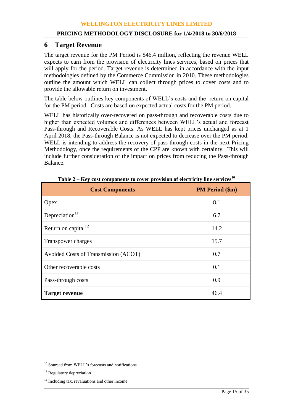## **6 Target Revenue**

The target revenue for the PM Period is \$46.4 million, reflecting the revenue WELL expects to earn from the provision of electricity lines services, based on prices that will apply for the period. Target revenue is determined in accordance with the input methodologies defined by the Commerce Commission in 2010. These methodologies outline the amount which WELL can collect through prices to cover costs and to provide the allowable return on investment.

The table below outlines key components of WELL's costs and the return on capital for the PM period. Costs are based on expected actual costs for the PM period.

WELL has historically over-recovered on pass-through and recoverable costs due to higher than expected volumes and differences between WELL's actual and forecast Pass-through and Recoverable Costs. As WELL has kept prices unchanged as at 1 April 2018, the Pass-through Balance is not expected to decrease over the PM period. WELL is intending to address the recovery of pass through costs in the next Pricing Methodology, once the requirements of the CPP are known with certainty. This will include further consideration of the impact on prices from reducing the Pass-through Balance.

| <b>Cost Components</b>               | <b>PM Period (\$m)</b> |
|--------------------------------------|------------------------|
| Opex                                 | 8.1                    |
| Depreciation $11$                    | 6.7                    |
| Return on capital <sup>12</sup>      | 14.2                   |
| Transpower charges                   | 15.7                   |
| Avoided Costs of Transmission (ACOT) | 0.7                    |
| Other recoverable costs              | 0.1                    |
| Pass-through costs                   | 0.9                    |
| <b>Target revenue</b>                | 46.4                   |

**Table 2 – Key cost components to cover provision of electricity line services<sup>10</sup>**

 $\overline{a}$ 

<sup>&</sup>lt;sup>10</sup> Sourced from WELL's forecasts and notifications.

<sup>&</sup>lt;sup>11</sup> Regulatory depreciation

<sup>&</sup>lt;sup>12</sup> Including tax, revaluations and other income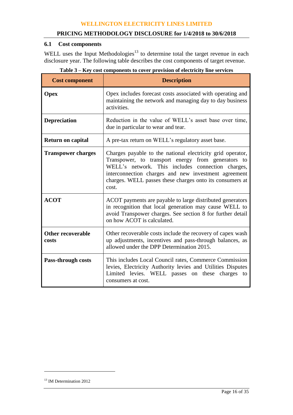## **6.1 Cost components**

WELL uses the Input Methodologies<sup>13</sup> to determine total the target revenue in each disclosure year. The following table describes the cost components of target revenue.

| <b>Cost component</b>             | <b>Description</b>                                                                                                                                                                                                                                                                                 |  |  |  |  |
|-----------------------------------|----------------------------------------------------------------------------------------------------------------------------------------------------------------------------------------------------------------------------------------------------------------------------------------------------|--|--|--|--|
| <b>Opex</b>                       | Opex includes forecast costs associated with operating and<br>maintaining the network and managing day to day business<br>activities.                                                                                                                                                              |  |  |  |  |
| <b>Depreciation</b>               | Reduction in the value of WELL's asset base over time,<br>due in particular to wear and tear.                                                                                                                                                                                                      |  |  |  |  |
| <b>Return on capital</b>          | A pre-tax return on WELL's regulatory asset base.                                                                                                                                                                                                                                                  |  |  |  |  |
| <b>Transpower charges</b>         | Charges payable to the national electricity grid operator,<br>Transpower, to transport energy from generators to<br>WELL's network. This includes connection charges,<br>interconnection charges and new investment agreement<br>charges. WELL passes these charges onto its consumers at<br>cost. |  |  |  |  |
| <b>ACOT</b>                       | ACOT payments are payable to large distributed generators<br>in recognition that local generation may cause WELL to<br>avoid Transpower charges. See section 8 for further detail<br>on how ACOT is calculated.                                                                                    |  |  |  |  |
| <b>Other recoverable</b><br>costs | Other recoverable costs include the recovery of capex wash<br>up adjustments, incentives and pass-through balances, as<br>allowed under the DPP Determination 2015.                                                                                                                                |  |  |  |  |
| <b>Pass-through costs</b>         | This includes Local Council rates, Commerce Commission<br>levies, Electricity Authority levies and Utilities Disputes<br>Limited levies. WELL passes on these charges to<br>consumers at cost.                                                                                                     |  |  |  |  |

**Table 3 – Key cost components to cover provision of electricity line services**

 $\overline{a}$ 

<sup>&</sup>lt;sup>13</sup> IM Determination 2012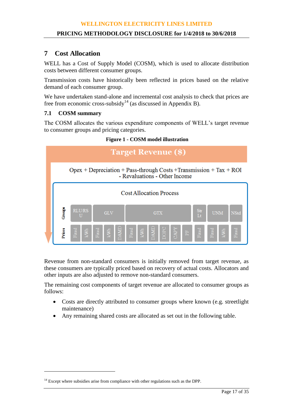## **7 Cost Allocation**

WELL has a Cost of Supply Model (COSM), which is used to allocate distribution costs between different consumer groups.

Transmission costs have historically been reflected in prices based on the relative demand of each consumer group.

We have undertaken stand-alone and incremental cost analysis to check that prices are free from economic cross-subsidy<sup>14</sup> (as discussed in Appendix B).

## **7.1 COSM summary**

 $\overline{a}$ 

The COSM allocates the various expenditure components of WELL's target revenue to consumer groups and pricing categories.



#### **Figure 1 - COSM model illustration**

Revenue from non-standard consumers is initially removed from target revenue, as these consumers are typically priced based on recovery of actual costs. Allocators and other inputs are also adjusted to remove non-standard consumers.

The remaining cost components of target revenue are allocated to consumer groups as follows:

- Costs are directly attributed to consumer groups where known (e.g. streetlight maintenance)
- Any remaining shared costs are allocated as set out in the following table.

<sup>&</sup>lt;sup>14</sup> Except where subsidies arise from compliance with other regulations such as the DPP.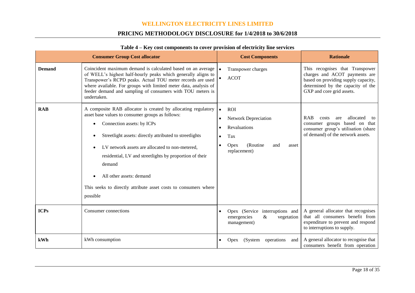## **PRICING METHODOLOGY DISCLOSURE for 1/4/2018 to 30/6/2018**

|               | <b>Consumer Group Cost allocator</b>                                                                                                                                                                                                                                                                                                                                                                                                          | <b>Cost Components</b>                                                                                                                               | <b>Rationale</b>                                                                                                                                                          |
|---------------|-----------------------------------------------------------------------------------------------------------------------------------------------------------------------------------------------------------------------------------------------------------------------------------------------------------------------------------------------------------------------------------------------------------------------------------------------|------------------------------------------------------------------------------------------------------------------------------------------------------|---------------------------------------------------------------------------------------------------------------------------------------------------------------------------|
| <b>Demand</b> | Coincident maximum demand is calculated based on an average<br>of WELL's highest half-hourly peaks which generally aligns to<br>Transpower's RCPD peaks. Actual TOU meter records are used<br>where available. For groups with limited meter data, analysis of<br>feeder demand and sampling of consumers with TOU meters is<br>undertaken.                                                                                                   | Transpower charges<br><b>ACOT</b><br>$\bullet$                                                                                                       | This recognises that Transpower<br>charges and ACOT payments are<br>based on providing supply capacity,<br>determined by the capacity of the<br>GXP and core grid assets. |
| <b>RAB</b>    | A composite RAB allocator is created by allocating regulatory<br>asset base values to consumer groups as follows:<br>Connection assets: by ICPs<br>Streetlight assets: directly attributed to streetlights<br>LV network assets are allocated to non-metered,<br>residential, LV and streetlights by proportion of their<br>demand<br>All other assets: demand<br>This seeks to directly attribute asset costs to consumers where<br>possible | <b>ROI</b><br>$\bullet$<br><b>Network Depreciation</b><br>٠<br>Revaluations<br>Tax<br>$\bullet$<br>(Routine)<br>Opex<br>and<br>asset<br>replacement) | <b>RAB</b><br>allocated<br>costs<br>are<br>to<br>consumer groups based on that<br>consumer group's utilisation (share<br>of demand) of the network assets.                |
| <b>ICPs</b>   | Consumer connections                                                                                                                                                                                                                                                                                                                                                                                                                          | Opex (Service interruptions and<br>emergencies<br>$\&$<br>vegetation<br>management)                                                                  | A general allocator that recognises<br>that all consumers benefit from<br>expenditure to prevent and respond<br>to interruptions to supply.                               |
| kWh           | kWh consumption                                                                                                                                                                                                                                                                                                                                                                                                                               | operations<br>(System<br>and<br><b>Opex</b>                                                                                                          | A general allocator to recognise that<br>consumers benefit from operation                                                                                                 |

#### **Table 4 – Key cost components to cover provision of electricity line services**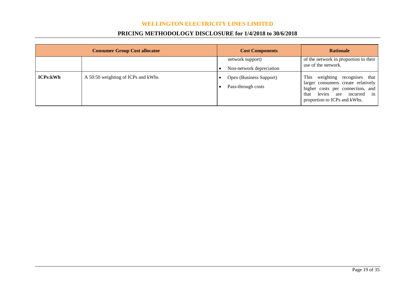## **PRICING METHODOLOGY DISCLOSURE for 1/4/2018 to 30/6/2018**

| <b>Consumer Group Cost allocator</b> |                                    | <b>Cost Components</b>                        | <b>Rationale</b>                                                                                                                                                              |
|--------------------------------------|------------------------------------|-----------------------------------------------|-------------------------------------------------------------------------------------------------------------------------------------------------------------------------------|
|                                      |                                    | network support)<br>Non-network depreciation  | of the network in proportion to their<br>use of the network.                                                                                                                  |
| <b>ICPs:kWh</b>                      | A 50:50 weighting of ICPs and kWhs | Opex (Business Support)<br>Pass-through costs | This<br>weighting recognises that<br>larger consumers create relatively<br>higher costs per connection, and<br>levies are incurred in<br>that<br>proportion to ICPs and kWhs. |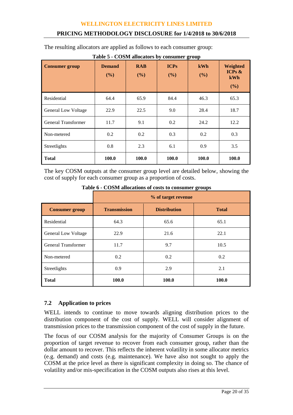## **PRICING METHODOLOGY DISCLOSURE for 1/4/2018 to 30/6/2018**

The resulting allocators are applied as follows to each consumer group:

| <b>Consumer group</b>      | <b>Demand</b><br>(%) | <b>RAB</b><br>(%) | <b>ICPs</b><br>(%) | kWh<br>(%) | Weighted<br>ICPs $\&$<br>kWh<br>(%) |
|----------------------------|----------------------|-------------------|--------------------|------------|-------------------------------------|
| Residential                | 64.4                 | 65.9              | 84.4               | 46.3       | 65.3                                |
| <b>General Low Voltage</b> | 22.9                 | 22.5              | 9.0                | 28.4       | 18.7                                |
| General Transformer        | 11.7                 | 9.1               | 0.2                | 24.2       | 12.2                                |
| Non-metered                | 0.2                  | 0.2               | 0.3                | 0.2        | 0.3                                 |
| Streetlights               | 0.8                  | 2.3               | 6.1                | 0.9        | 3.5                                 |
| <b>Total</b>               | 100.0                | 100.0             | 100.0              | 100.0      | 100.0                               |

**Table 5 - COSM allocators by consumer group**

The key COSM outputs at the consumer group level are detailed below, showing the cost of supply for each consumer group as a proportion of costs.

|                            | % of target revenue |                     |              |  |  |
|----------------------------|---------------------|---------------------|--------------|--|--|
| <b>Consumer group</b>      | <b>Transmission</b> | <b>Distribution</b> | <b>Total</b> |  |  |
| Residential                | 64.3                | 65.6                | 65.1         |  |  |
| <b>General Low Voltage</b> | 22.9                | 21.6                | 22.1         |  |  |
| General Transformer        | 11.7                | 9.7                 | 10.5         |  |  |
| Non-metered                | 0.2                 | 0.2                 | 0.2          |  |  |
| Streetlights               | 0.9                 | 2.9                 | 2.1          |  |  |
| <b>Total</b>               | 100.0               | 100.0               | 100.0        |  |  |

**Table 6 - COSM allocations of costs to consumer groups**

## **7.2 Application to prices**

WELL intends to continue to move towards aligning distribution prices to the distribution component of the cost of supply. WELL will consider alignment of transmission prices to the transmission component of the cost of supply in the future.

The focus of our COSM analysis for the majority of Consumer Groups is on the proportion of target revenue to recover from each consumer group, rather than the dollar amount to recover. This reflects the inherent volatility in some allocator metrics (e.g. demand) and costs (e.g. maintenance). We have also not sought to apply the COSM at the price level as there is significant complexity in doing so. The chance of volatility and/or mis-specification in the COSM outputs also rises at this level.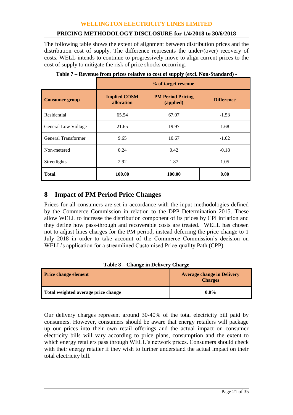## **PRICING METHODOLOGY DISCLOSURE for 1/4/2018 to 30/6/2018**

The following table shows the extent of alignment between distribution prices and the distribution cost of supply. The difference represents the under/(over) recovery of costs. WELL intends to continue to progressively move to align current prices to the cost of supply to mitigate the risk of price shocks occurring.

|                            | % of target revenue               |                                       |                   |  |  |  |  |  |  |
|----------------------------|-----------------------------------|---------------------------------------|-------------------|--|--|--|--|--|--|
| <b>Consumer group</b>      | <b>Implied COSM</b><br>allocation | <b>PM Period Pricing</b><br>(applied) | <b>Difference</b> |  |  |  |  |  |  |
| Residential                | 65.54                             | 67.07                                 | $-1.53$           |  |  |  |  |  |  |
| <b>General Low Voltage</b> | 21.65                             | 19.97                                 | 1.68              |  |  |  |  |  |  |
| General Transformer        | 9.65                              | 10.67                                 | $-1.02$           |  |  |  |  |  |  |
| Non-metered                | 0.24                              | 0.42                                  | $-0.18$           |  |  |  |  |  |  |
| Streetlights               | 2.92                              | 1.87                                  | 1.05              |  |  |  |  |  |  |
| <b>Total</b>               | 100.00                            | 100.00                                | 0.00              |  |  |  |  |  |  |

**Table 7 – Revenue from prices relative to cost of supply (excl. Non-Standard) -**

## **8 Impact of PM Period Price Changes**

Prices for all consumers are set in accordance with the input methodologies defined by the Commerce Commission in relation to the DPP Determination 2015. These allow WELL to increase the distribution component of its prices by CPI inflation and they define how pass-through and recoverable costs are treated. WELL has chosen not to adjust lines charges for the PM period, instead deferring the price change to 1 July 2018 in order to take account of the Commerce Commission's decision on WELL's application for a streamlined Customised Price-quality Path (CPP).

| Table 8 – Change in Denvery Charge  |                                                     |  |  |  |  |  |  |  |
|-------------------------------------|-----------------------------------------------------|--|--|--|--|--|--|--|
| <b>Price change element</b>         | <b>Average change in Delivery</b><br><b>Charges</b> |  |  |  |  |  |  |  |
| Total weighted average price change | $0.0\%$                                             |  |  |  |  |  |  |  |

## **Table 8 – Change in Delivery Charge**

Our delivery charges represent around 30-40% of the total electricity bill paid by consumers. However, consumers should be aware that energy retailers will package up our prices into their own retail offerings and the actual impact on consumer electricity bills will vary according to price plans, consumption and the extent to which energy retailers pass through WELL's network prices. Consumers should check with their energy retailer if they wish to further understand the actual impact on their total electricity bill.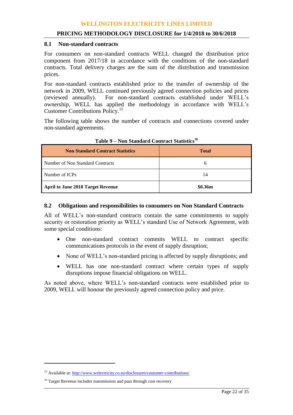#### **8.1 Non-standard contracts**

For consumers on non-standard contracts WELL changed the distribution price component from 2017/18 in accordance with the conditions of the non-standard contracts. Total delivery charges are the sum of the distribution and transmission prices.

For non-standard contracts established prior to the transfer of ownership of the network in 2009, WELL continued previously agreed connection policies and prices (reviewed annually). For non-standard contracts established under WELL's For non-standard contracts established under WELL's ownership, WELL has applied the methodology in accordance with WELL's Customer Contributions Policy.<sup>15</sup>

The following table shows the number of contracts and connections covered under non-standard agreements.

| <b>Non Standard Contract Statistics</b> | <b>Total</b> |
|-----------------------------------------|--------------|
| Number of Non Standard Contracts        | 0            |
| Number of ICPs                          | 14           |
| April to June 2018 Target Revenue       | \$0.36m      |

#### **Table 9 – Non Standard Contract Statistics<sup>16</sup>**

#### **8.2 Obligations and responsibilities to consumers on Non Standard Contracts**

All of WELL's non-standard contracts contain the same commitments to supply security or restoration priority as WELL's standard Use of Network Agreement, with some special conditions:

- One non-standard contract commits WELL to contract specific communications protocols in the event of supply disruption;
- None of WELL's non-standard pricing is affected by supply disruptions; and
- WELL has one non-standard contract where certain types of supply disruptions impose financial obligations on WELL.

As noted above, where WELL's non-standard contracts were established prior to 2009, WELL will honour the previously agreed connection policy and price.

 $\overline{a}$ 

<sup>&</sup>lt;sup>15</sup> Available at: http://www.welectricity.co.nz/disclosures/customer-contributions/

<sup>&</sup>lt;sup>16</sup> Target Revenue includes transmission and pass through cost recovery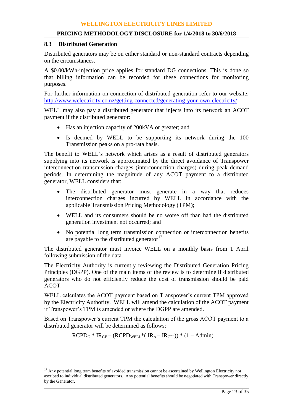#### **8.3 Distributed Generation**

 $\overline{a}$ 

Distributed generators may be on either standard or non-standard contracts depending on the circumstances.

A \$0.00/kWh-injection price applies for standard DG connections. This is done so that billing information can be recorded for these connections for monitoring purposes.

For further information on connection of distributed generation refer to our website: <http://www.welectricity.co.nz/getting-connected/generating-your-own-electricity/>

WELL may also pay a distributed generator that injects into its network an ACOT payment if the distributed generator:

- Has an injection capacity of 200kVA or greater; and
- Is deemed by WELL to be supporting its network during the 100 Transmission peaks on a pro-rata basis.

The benefit to WELL's network which arises as a result of distributed generators supplying into its network is approximated by the direct avoidance of Transpower interconnection transmission charges (interconnection charges) during peak demand periods. In determining the magnitude of any ACOT payment to a distributed generator, WELL considers that:

- The distributed generator must generate in a way that reduces interconnection charges incurred by WELL in accordance with the applicable Transmission Pricing Methodology (TPM);
- WELL and its consumers should be no worse off than had the distributed generation investment not occurred; and
- No potential long term transmission connection or interconnection benefits are payable to the distributed generator  $17$

The distributed generator must invoice WELL on a monthly basis from 1 April following submission of the data.

The Electricity Authority is currently reviewing the Distributed Generation Pricing Principles (DGPP). One of the main items of the review is to determine if distributed generators who do not efficiently reduce the cost of transmission should be paid ACOT.

WELL calculates the ACOT payment based on Transpower's current TPM approved by the Electricity Authority. WELL will amend the calculation of the ACOT payment if Transpower's TPM is amended or where the DGPP are amended.

Based on Transpower's current TPM the calculation of the gross ACOT payment to a distributed generator will be determined as follows:

$$
RCPDG * IRCF - (RCPDWELL * ( IRA - IRCF -)) * (1 - Admin)
$$

 $17$  Any potential long term benefits of avoided transmission cannot be ascertained by Wellington Electricity nor ascribed to individual distributed generators. Any potential benefits should be negotiated with Transpower directly by the Generator.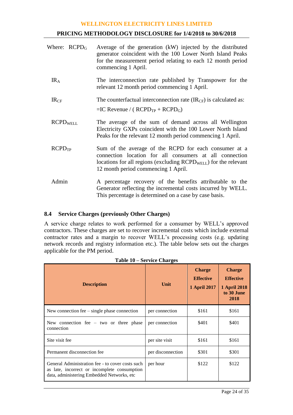#### **PRICING METHODOLOGY DISCLOSURE for 1/4/2018 to 30/6/2018**

| Where: $RCPDG$     | Average of the generation (kW) injected by the distributed<br>generator coincident with the 100 Lower North Island Peaks<br>for the measurement period relating to each 12 month period<br>commencing 1 April.                   |
|--------------------|----------------------------------------------------------------------------------------------------------------------------------------------------------------------------------------------------------------------------------|
| IR <sub>A</sub>    | The interconnection rate published by Transpower for the<br>relevant 12 month period commencing 1 April.                                                                                                                         |
| IR <sub>CF</sub>   | The counterfactual interconnection rate $(\text{IR}_{CF})$ is calculated as:<br>$=IC$ Revenue / ( $RCPD_{TP}$ + $RCPD_G$ )                                                                                                       |
| <b>RCPDWELL</b>    | The average of the sum of demand across all Wellington<br>Electricity GXPs coincident with the 100 Lower North Island<br>Peaks for the relevant 12 month period commencing 1 April.                                              |
| RCPD <sub>TP</sub> | Sum of the average of the RCPD for each consumer at a<br>connection location for all consumers at all connection<br>locations for all regions (excluding $RCPD_{WELL}$ ) for the relevant<br>12 month period commencing 1 April. |
| Admin              | A percentage recovery of the benefits attributable to the<br>Generator reflecting the incremental costs incurred by WELL.<br>This percentage is determined on a case by case basis.                                              |

## **8.4 Service Charges (previously Other Charges)**

A service charge relates to work performed for a consumer by WELL's approved contractors. These charges are set to recover incremental costs which include external contractor rates and a margin to recover WELL's processing costs (e.g. updating network records and registry information etc.). The table below sets out the charges applicable for the PM period.

| <b>Description</b>                                                                                                                              | Unit              | <b>Charge</b><br><b>Effective</b><br><b>1 April 2017</b> | <b>Charge</b><br><b>Effective</b><br><b>1 April 2018</b><br>to 30 June<br>2018 |
|-------------------------------------------------------------------------------------------------------------------------------------------------|-------------------|----------------------------------------------------------|--------------------------------------------------------------------------------|
| New connection fee $-$ single phase connection                                                                                                  | per connection    | \$161                                                    | \$161                                                                          |
| New connection fee $-$ two or three phase<br>connection                                                                                         | per connection    | \$401                                                    | \$401                                                                          |
| Site visit fee                                                                                                                                  | per site visit    | \$161                                                    | \$161                                                                          |
| Permanent disconnection fee                                                                                                                     | per disconnection | \$301                                                    | \$301                                                                          |
| General Administration fee - to cover costs such<br>as late, incorrect or incomplete consumption<br>data, administering Embedded Networks, etc. | per hour          | \$122                                                    | \$122                                                                          |

|  |  |  | <b>Table 10 – Service Charges</b> |
|--|--|--|-----------------------------------|
|--|--|--|-----------------------------------|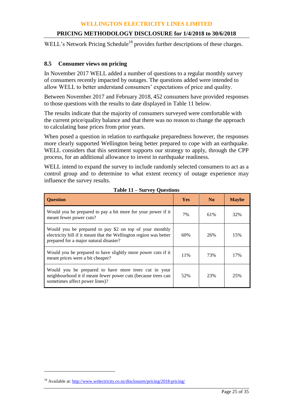## **PRICING METHODOLOGY DISCLOSURE for 1/4/2018 to 30/6/2018**

WELL's Network Pricing Schedule<sup>18</sup> provides further descriptions of these charges.

## **8.5 Consumer views on pricing**

In November 2017 WELL added a number of questions to a regular monthly survey of consumers recently impacted by outages. The questions added were intended to allow WELL to better understand consumers' expectations of price and quality.

Between November 2017 and February 2018, 452 consumers have provided responses to those questions with the results to date displayed in Table 11 below.

The results indicate that the majority of consumers surveyed were comfortable with the current price/quality balance and that there was no reason to change the approach to calculating base prices from prior years.

When posed a question in relation to earthquake preparedness however, the responses more clearly supported Wellington being better prepared to cope with an earthquake. WELL considers that this sentiment supports our strategy to apply, through the CPP process, for an additional allowance to invest in earthquake readiness.

WELL intend to expand the survey to include randomly selected consumers to act as a control group and to determine to what extent recency of outage experience may influence the survey results.

| <b>Ouestion</b>                                                                                                                                                         | <b>Yes</b> | No  | <b>Maybe</b> |
|-------------------------------------------------------------------------------------------------------------------------------------------------------------------------|------------|-----|--------------|
| Would you be prepared to pay a bit more for your power if it<br>meant fewer power cuts?                                                                                 | 7%         | 61% | 32%          |
| Would you be prepared to pay \$2 on top of your monthly<br>electricity bill if it meant that the Wellington region was better<br>prepared for a major natural disaster? | 60%        | 26% | 15%          |
| Would you be prepared to have slightly more power cuts if it<br>meant prices were a bit cheaper?                                                                        | 11%        | 73% | 17%          |
| Would you be prepared to have more trees cut in your<br>neighbourhood it if meant fewer power cuts (because trees can<br>sometimes affect power lines)?                 | 52%        | 23% | 25%          |

#### **Table 11 – Survey Questions**

 $\overline{a}$ 

<sup>&</sup>lt;sup>18</sup> Available at[: http://www.welectricity.co.nz/disclosures/pricing/2018-pricing/](http://www.welectricity.co.nz/disclosures/pricing/2018-pricing/)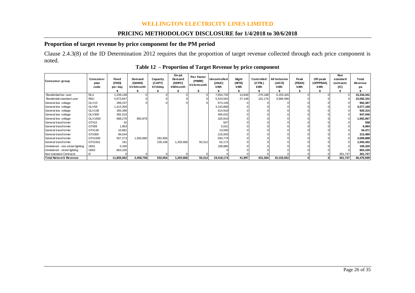## **PRICING METHODOLOGY DISCLOSURE for 1/4/2018 to 30/6/2018**

## **Proportion of target revenue by price component for the PM period**

Clause 2.4.3(8) of the ID Determination 2012 requires that the proportion of target revenue collected through each price component is noted.

| noted.                          |                          |                            |                               |                               |                                       |                                           |                                                            |                        |                                           |                                       |                       |                              |                                             |                        |
|---------------------------------|--------------------------|----------------------------|-------------------------------|-------------------------------|---------------------------------------|-------------------------------------------|------------------------------------------------------------|------------------------|-------------------------------------------|---------------------------------------|-----------------------|------------------------------|---------------------------------------------|------------------------|
|                                 |                          |                            |                               |                               |                                       |                                           | Table 12 – Proportion of Target Revenue by price component |                        |                                           |                                       |                       |                              |                                             |                        |
| Consumer group                  | Consumer<br>plan<br>code | Fixed<br>(FIXD)<br>per day | Demand<br>(DAMD)<br>kVA/month | Capactiy<br>(CAPY)<br>kVA/day | On-pk<br>Demand<br>(DOPC)<br>kW/month | <b>Pwr Factor</b><br>(PWRF)<br>kVAr/month | Uncontrolled<br>(24UC)<br>kWh                              | Night<br>(NITE)<br>kWh | <b>Controlled</b><br>(CTRL)<br><b>kWh</b> | <b>All Inclusive</b><br>(AICO)<br>kWh | Peak<br>(PEAK)<br>kWh | Off-peak<br>(OFFPEAK)<br>kWh | <b>Non</b><br>standard<br>contracts<br>(IC) | Total<br>Revenue<br>рa |
| Residential low user            | <b>RLU</b>               | ,239,148                   |                               |                               |                                       |                                           | 7,654,730                                                  | 14,849                 | 270,188                                   | 6,155,426                             |                       |                              |                                             | 15,334,341             |
| Residential standard user       | <b>RSU</b>               | 5,973,847                  |                               |                               |                                       |                                           | 5,433,563                                                  | 27,148                 | 161,176                                   | 3,996,596                             |                       |                              |                                             | 15,592,331             |
| General low voltage             | GLV <sub>15</sub>        | 289,237                    |                               |                               |                                       |                                           | 673,149                                                    |                        |                                           |                                       |                       |                              |                                             | 962,387                |
| General low voltage             | GLV69                    | ,413,300                   |                               |                               |                                       |                                           | 3,163,868                                                  |                        |                                           |                                       |                       |                              |                                             | 4,577,168              |
| General low voltage             | <b>GLV138</b>            | 305,396                    |                               |                               |                                       |                                           | 614.918                                                    |                        |                                           |                                       |                       |                              |                                             | 920,315                |
| General low voltage             | GLV300                   | 382.015                    |                               |                               |                                       |                                           | 465.032                                                    |                        |                                           |                                       |                       |                              |                                             | 847,046                |
| General low voltage             | GLV1500                  | 688,270                    | 892,878                       |                               |                                       |                                           | 320,919                                                    |                        |                                           |                                       |                       |                              |                                             | 1,902,067              |
| General transformer             | GTX15                    | 52                         |                               |                               |                                       |                                           | 507                                                        |                        |                                           |                                       |                       |                              |                                             | 558                    |
| General transformer             | GTX69                    | 1,963                      |                               |                               |                                       |                                           | 5,031                                                      |                        |                                           |                                       |                       |                              |                                             | 6,994                  |
| General transformer             | GTX138                   | 10,881                     |                               |                               |                                       |                                           | 23,590                                                     |                        |                                           |                                       |                       |                              |                                             | 34,471                 |
| General transformer             | GTX300                   | 96,544                     |                               |                               |                                       |                                           | 216,935                                                    |                        |                                           |                                       |                       |                              |                                             | 313,480                |
| General transformer             | GTX1500                  | 557,273                    | 1,565,880                     | 292,956                       |                                       |                                           | 593.779                                                    |                        |                                           |                                       |                       |                              |                                             | 3,009,888              |
| General transformer             | GTX1501                  | 191                        |                               | 239,108                       | 1,203,668                             | 50,312                                    | 62.172                                                     |                        |                                           |                                       |                       |                              |                                             | 1,555,452              |
| Unmetered - non-street lighting | G001                     | 5,340                      |                               |                               |                                       |                                           | 189,980                                                    |                        |                                           |                                       |                       |                              |                                             | 195,320                |
| Unmetered - street lighting     | G002                     | 863,105                    |                               |                               |                                       |                                           |                                                            |                        |                                           |                                       |                       |                              |                                             | 863,105                |
| Non-standard Contracts          | Ю                        |                            |                               |                               |                                       |                                           |                                                            |                        |                                           |                                       |                       |                              | 361,747                                     | 361,747                |
| <b>Total Network Revenue</b>    |                          | 11,826,562                 | 2,458,758                     | 532,064                       | 1,203,668                             | 50,312                                    | 19,418,174                                                 | 41,997                 | 431,364                                   | 10,152,022                            |                       |                              | 361,747                                     | 46,476,669             |

**Table 12 – Proportion of Target Revenue by price component**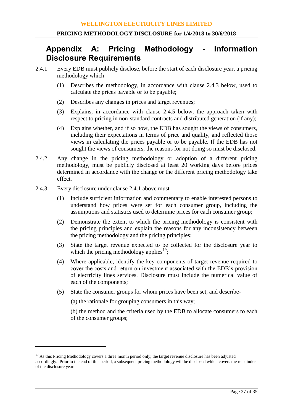## **Appendix A: Pricing Methodology - Information Disclosure Requirements**

- 2.4.1 Every EDB must publicly disclose, before the start of each disclosure year, a pricing methodology which-
	- (1) Describes the methodology, in accordance with clause 2.4.3 below, used to calculate the prices payable or to be payable;
	- (2) Describes any changes in prices and target revenues;
	- (3) Explains, in accordance with clause 2.4.5 below, the approach taken with respect to pricing in non-standard contracts and distributed generation (if any);
	- (4) Explains whether, and if so how, the EDB has sought the views of consumers, including their expectations in terms of price and quality, and reflected those views in calculating the prices payable or to be payable. If the EDB has not sought the views of consumers, the reasons for not doing so must be disclosed.
- 2.4.2 Any change in the pricing methodology or adoption of a different pricing methodology, must be publicly disclosed at least 20 working days before prices determined in accordance with the change or the different pricing methodology take effect.
- 2.4.3 Every disclosure under clause 2.4.1 above must-

<u>.</u>

- (1) Include sufficient information and commentary to enable interested persons to understand how prices were set for each consumer group, including the assumptions and statistics used to determine prices for each consumer group;
- (2) Demonstrate the extent to which the pricing methodology is consistent with the pricing principles and explain the reasons for any inconsistency between the pricing methodology and the pricing principles;
- (3) State the target revenue expected to be collected for the disclosure year to which the pricing methodology applies<sup>19</sup>;
- (4) Where applicable, identify the key components of target revenue required to cover the costs and return on investment associated with the EDB's provision of electricity lines services. Disclosure must include the numerical value of each of the components;
- (5) State the consumer groups for whom prices have been set, and describe-

(a) the rationale for grouping consumers in this way;

(b) the method and the criteria used by the EDB to allocate consumers to each of the consumer groups;

<sup>&</sup>lt;sup>19</sup> As this Pricing Methodology covers a three month period only, the target revenue disclosure has been adjusted accordingly. Prior to the end of this period, a subsequent pricing methodology will be disclosed which covers the remainder of the disclosure year.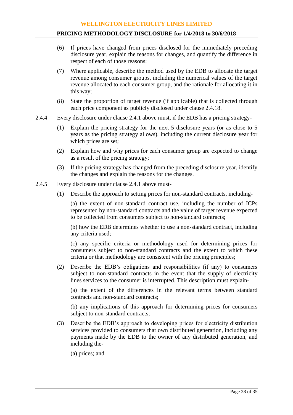- (6) If prices have changed from prices disclosed for the immediately preceding disclosure year, explain the reasons for changes, and quantify the difference in respect of each of those reasons;
- (7) Where applicable, describe the method used by the EDB to allocate the target revenue among consumer groups, including the numerical values of the target revenue allocated to each consumer group, and the rationale for allocating it in this way;
- (8) State the proportion of target revenue (if applicable) that is collected through each price component as publicly disclosed under clause 2.4.18.
- 2.4.4 Every disclosure under clause 2.4.1 above must, if the EDB has a pricing strategy-
	- (1) Explain the pricing strategy for the next 5 disclosure years (or as close to 5 years as the pricing strategy allows), including the current disclosure year for which prices are set;
	- (2) Explain how and why prices for each consumer group are expected to change as a result of the pricing strategy;
	- (3) If the pricing strategy has changed from the preceding disclosure year, identify the changes and explain the reasons for the changes.
- 2.4.5 Every disclosure under clause 2.4.1 above must-
	- (1) Describe the approach to setting prices for non-standard contracts, including-

(a) the extent of non-standard contract use, including the number of ICPs represented by non-standard contracts and the value of target revenue expected to be collected from consumers subject to non-standard contracts;

(b) how the EDB determines whether to use a non-standard contract, including any criteria used;

(c) any specific criteria or methodology used for determining prices for consumers subject to non-standard contracts and the extent to which these criteria or that methodology are consistent with the pricing principles;

(2) Describe the EDB's obligations and responsibilities (if any) to consumers subject to non-standard contracts in the event that the supply of electricity lines services to the consumer is interrupted. This description must explain-

(a) the extent of the differences in the relevant terms between standard contracts and non-standard contracts;

(b) any implications of this approach for determining prices for consumers subject to non-standard contracts;

(3) Describe the EDB's approach to developing prices for electricity distribution services provided to consumers that own distributed generation, including any payments made by the EDB to the owner of any distributed generation, and including the-

(a) prices; and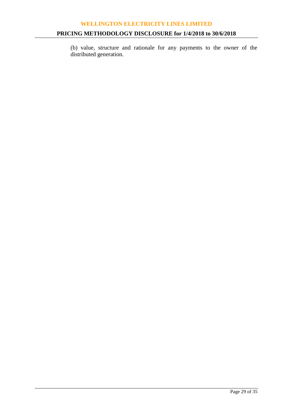## **PRICING METHODOLOGY DISCLOSURE for 1/4/2018 to 30/6/2018**

(b) value, structure and rationale for any payments to the owner of the distributed generation.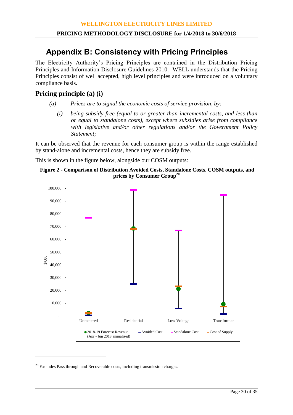# **Appendix B: Consistency with Pricing Principles**

The Electricity Authority's Pricing Principles are contained in the Distribution Pricing Principles and Information Disclosure Guidelines 2010. WELL understands that the Pricing Principles consist of well accepted, high level principles and were introduced on a voluntary compliance basis.

## **Pricing principle (a) (i)**

- *(a) Prices are to signal the economic costs of service provision, by:*
	- *(i) being subsidy free (equal to or greater than incremental costs, and less than or equal to standalone costs), except where subsidies arise from compliance with legislative and/or other regulations and/or the Government Policy Statement;*

It can be observed that the revenue for each consumer group is within the range established by stand-alone and incremental costs, hence they are subsidy free.

This is shown in the figure below, alongside our COSM outputs:

```
Figure 2 - Comparison of Distribution Avoided Costs, Standalone Costs, COSM outputs, and 
                  prices by Consumer Group20
```


 $20$  Excludes Pass through and Recoverable costs, including transmission charges.

<u>.</u>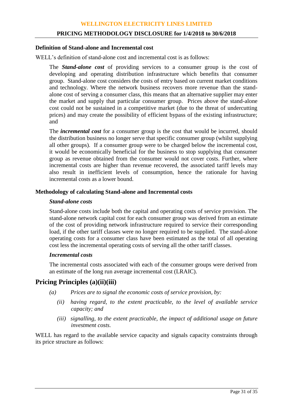#### **PRICING METHODOLOGY DISCLOSURE for 1/4/2018 to 30/6/2018**

#### **Definition of Stand-alone and Incremental cost**

WELL's definition of stand-alone cost and incremental cost is as follows:

The *Stand-alone cost* of providing services to a consumer group is the cost of developing and operating distribution infrastructure which benefits that consumer group. Stand-alone cost considers the costs of entry based on current market conditions and technology. Where the network business recovers more revenue than the standalone cost of serving a consumer class, this means that an alternative supplier may enter the market and supply that particular consumer group. Prices above the stand-alone cost could not be sustained in a competitive market (due to the threat of undercutting prices) and may create the possibility of efficient bypass of the existing infrastructure; and

The *incremental cost* for a consumer group is the cost that would be incurred, should the distribution business no longer serve that specific consumer group (whilst supplying all other groups). If a consumer group were to be charged below the incremental cost, it would be economically beneficial for the business to stop supplying that consumer group as revenue obtained from the consumer would not cover costs. Further, where incremental costs are higher than revenue recovered, the associated tariff levels may also result in inefficient levels of consumption, hence the rationale for having incremental costs as a lower bound.

## **Methodology of calculating Stand-alone and Incremental costs**

#### *Stand-alone costs*

Stand-alone costs include both the capital and operating costs of service provision. The stand-alone network capital cost for each consumer group was derived from an estimate of the cost of providing network infrastructure required to service their corresponding load, if the other tariff classes were no longer required to be supplied. The stand-alone operating costs for a consumer class have been estimated as the total of all operating cost less the incremental operating costs of serving all the other tariff classes.

#### *Incremental costs*

The incremental costs associated with each of the consumer groups were derived from an estimate of the long run average incremental cost (LRAIC).

## **Pricing Principles (a)(ii)(iii)**

- *(a) Prices are to signal the economic costs of service provision, by:*
	- *(ii) having regard, to the extent practicable, to the level of available service capacity; and*
	- *(iii) signalling, to the extent practicable, the impact of additional usage on future investment costs.*

WELL has regard to the available service capacity and signals capacity constraints through its price structure as follows: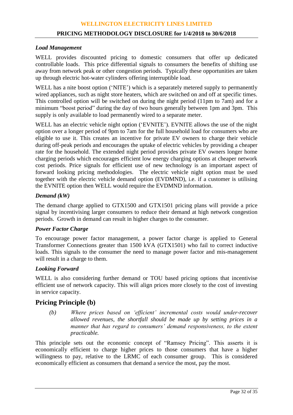#### **PRICING METHODOLOGY DISCLOSURE for 1/4/2018 to 30/6/2018**

#### *Load Management*

WELL provides discounted pricing to domestic consumers that offer up dedicated controllable loads. This price differential signals to consumers the benefits of shifting use away from network peak or other congestion periods. Typically these opportunities are taken up through electric hot-water cylinders offering interruptible load.

WELL has a nite boost option ('NITE') which is a separately metered supply to permanently wired appliances, such as night store heaters, which are switched on and off at specific times. This controlled option will be switched on during the night period (11pm to 7am) and for a minimum "boost period" during the day of two hours generally between 1pm and 3pm. This supply is only available to load permanently wired to a separate meter.

WELL has an electric vehicle night option ('EVNITE'). EVNITE allows the use of the night option over a longer period of 9pm to 7am for the full household load for consumers who are eligible to use it. This creates an incentive for private EV owners to charge their vehicle during off-peak periods and encourages the uptake of electric vehicles by providing a cheaper rate for the household. The extended night period provides private EV owners longer home charging periods which encourages efficient low energy charging options at cheaper network cost periods. Price signals for efficient use of new technology is an important aspect of forward looking pricing methodologies. The electric vehicle night option must be used together with the electric vehicle demand option (EVDMND), i.e. if a customer is utilising the EVNITE option then WELL would require the EVDMND information.

## *Demand (kW)*

The demand charge applied to GTX1500 and GTX1501 pricing plans will provide a price signal by incentivising larger consumers to reduce their demand at high network congestion periods. Growth in demand can result in higher charges to the consumer.

## *Power Factor Charge*

To encourage power factor management, a power factor charge is applied to General Transformer Connections greater than 1500 kVA (GTX1501) who fail to correct inductive loads. This signals to the consumer the need to manage power factor and mis-management will result in a charge to them.

## *Looking Forward*

WELL is also considering further demand or TOU based pricing options that incentivise efficient use of network capacity. This will align prices more closely to the cost of investing in service capacity.

## **Pricing Principle (b)**

*(b) Where prices based on 'efficient' incremental costs would under-recover allowed revenues, the shortfall should be made up by setting prices in a manner that has regard to consumers' demand responsiveness, to the extent practicable.*

This principle sets out the economic concept of "Ramsey Pricing". This asserts it is economically efficient to charge higher prices to those consumers that have a higher willingness to pay, relative to the LRMC of each consumer group. This is considered economically efficient as consumers that demand a service the most, pay the most.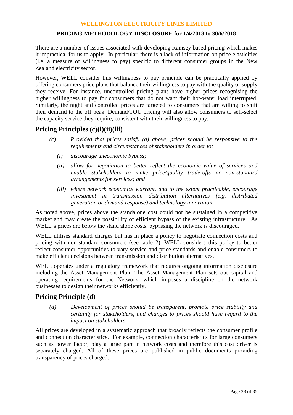#### **PRICING METHODOLOGY DISCLOSURE for 1/4/2018 to 30/6/2018**

There are a number of issues associated with developing Ramsey based pricing which makes it impractical for us to apply. In particular, there is a lack of information on price elasticities (i.e. a measure of willingness to pay) specific to different consumer groups in the New Zealand electricity sector.

However, WELL consider this willingness to pay principle can be practically applied by offering consumers price plans that balance their willingness to pay with the quality of supply they receive. For instance, uncontrolled pricing plans have higher prices recognising the higher willingness to pay for consumers that do not want their hot-water load interrupted. Similarly, the night and controlled prices are targeted to consumers that are willing to shift their demand to the off peak. Demand/TOU pricing will also allow consumers to self-select the capacity service they require, consistent with their willingness to pay.

## **Pricing Principles (c)(i)(ii)(iii)**

- *(c) Provided that prices satisfy (a) above, prices should be responsive to the requirements and circumstances of stakeholders in order to:*
	- *(i) discourage uneconomic bypass;*
	- *(ii) allow for negotiation to better reflect the economic value of services and enable stakeholders to make price/quality trade-offs or non-standard arrangements for services; and*
	- *(iii) where network economics warrant, and to the extent practicable, encourage investment in transmission distribution alternatives (e.g. distributed generation or demand response) and technology innovation.*

As noted above, prices above the standalone cost could not be sustained in a competitive market and may create the possibility of efficient bypass of the existing infrastructure. As WELL's prices are below the stand alone costs, bypassing the network is discouraged.

WELL utilises standard charges but has in place a policy to negotiate connection costs and pricing with non-standard consumers (see table 2). WELL considers this policy to better reflect consumer opportunities to vary service and price standards and enable consumers to make efficient decisions between transmission and distribution alternatives.

WELL operates under a regulatory framework that requires ongoing information disclosure including the Asset Management Plan. The Asset Management Plan sets out capital and operating requirements for the Network, which imposes a discipline on the network businesses to design their networks efficiently.

## **Pricing Principle (d)**

*(d) Development of prices should be transparent, promote price stability and certainty for stakeholders, and changes to prices should have regard to the impact on stakeholders.*

All prices are developed in a systematic approach that broadly reflects the consumer profile and connection characteristics. For example, connection characteristics for large consumers such as power factor, play a large part in network costs and therefore this cost driver is separately charged. All of these prices are published in public documents providing transparency of prices charged.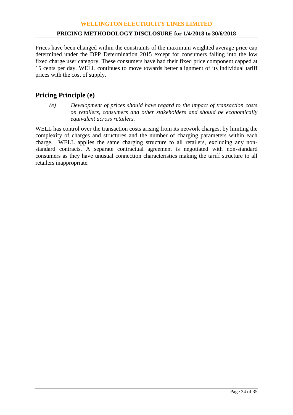Prices have been changed within the constraints of the maximum weighted average price cap determined under the DPP Determination 2015 except for consumers falling into the low fixed charge user category. These consumers have had their fixed price component capped at 15 cents per day. WELL continues to move towards better alignment of its individual tariff prices with the cost of supply.

## **Pricing Principle (e)**

*(e) Development of prices should have regard to the impact of transaction costs on retailers, consumers and other stakeholders and should be economically equivalent across retailers.*

WELL has control over the transaction costs arising from its network charges, by limiting the complexity of charges and structures and the number of charging parameters within each charge. WELL applies the same charging structure to all retailers, excluding any nonstandard contracts. A separate contractual agreement is negotiated with non-standard consumers as they have unusual connection characteristics making the tariff structure to all retailers inappropriate.